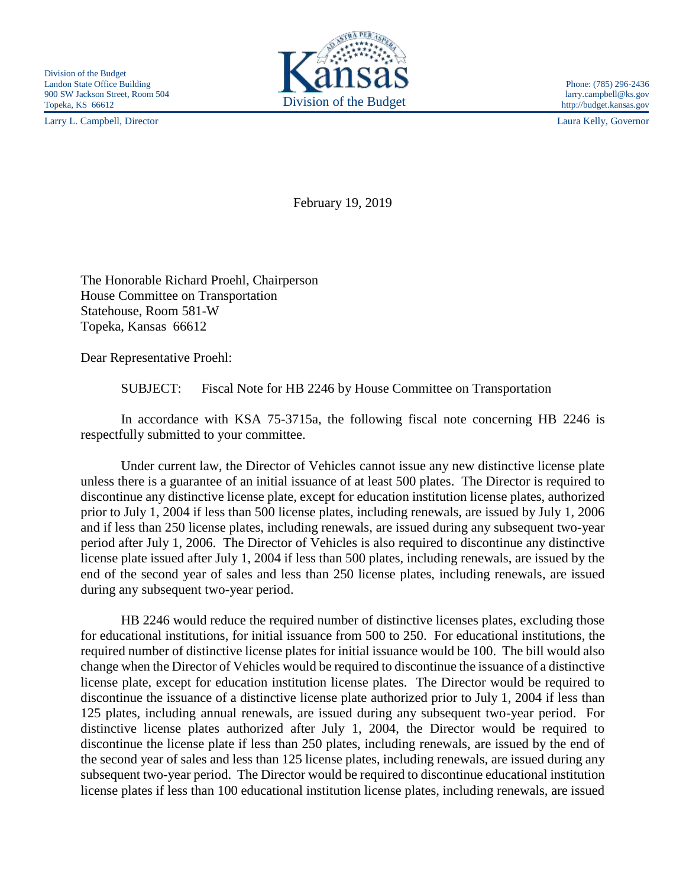Larry L. Campbell, Director Laura Kelly, Governor



http://budget.kansas.gov

February 19, 2019

The Honorable Richard Proehl, Chairperson House Committee on Transportation Statehouse, Room 581-W Topeka, Kansas 66612

Dear Representative Proehl:

SUBJECT: Fiscal Note for HB 2246 by House Committee on Transportation

In accordance with KSA 75-3715a, the following fiscal note concerning HB 2246 is respectfully submitted to your committee.

Under current law, the Director of Vehicles cannot issue any new distinctive license plate unless there is a guarantee of an initial issuance of at least 500 plates. The Director is required to discontinue any distinctive license plate, except for education institution license plates, authorized prior to July 1, 2004 if less than 500 license plates, including renewals, are issued by July 1, 2006 and if less than 250 license plates, including renewals, are issued during any subsequent two-year period after July 1, 2006. The Director of Vehicles is also required to discontinue any distinctive license plate issued after July 1, 2004 if less than 500 plates, including renewals, are issued by the end of the second year of sales and less than 250 license plates, including renewals, are issued during any subsequent two-year period.

HB 2246 would reduce the required number of distinctive licenses plates, excluding those for educational institutions, for initial issuance from 500 to 250. For educational institutions, the required number of distinctive license plates for initial issuance would be 100. The bill would also change when the Director of Vehicles would be required to discontinue the issuance of a distinctive license plate, except for education institution license plates. The Director would be required to discontinue the issuance of a distinctive license plate authorized prior to July 1, 2004 if less than 125 plates, including annual renewals, are issued during any subsequent two-year period. For distinctive license plates authorized after July 1, 2004, the Director would be required to discontinue the license plate if less than 250 plates, including renewals, are issued by the end of the second year of sales and less than 125 license plates, including renewals, are issued during any subsequent two-year period. The Director would be required to discontinue educational institution license plates if less than 100 educational institution license plates, including renewals, are issued